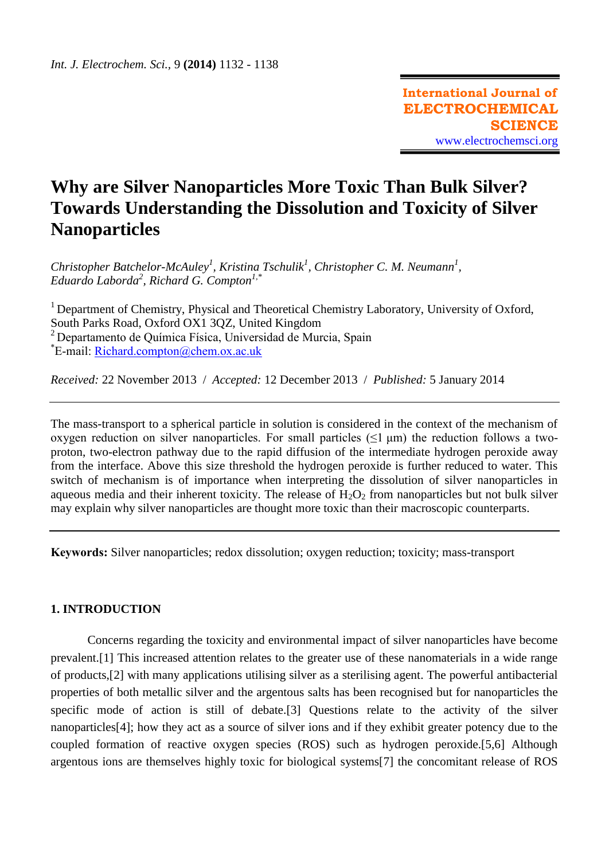# **Why are Silver Nanoparticles More Toxic Than Bulk Silver? Towards Understanding the Dissolution and Toxicity of Silver Nanoparticles**

*Christopher Batchelor-McAuley<sup>1</sup> , Kristina Tschulik<sup>1</sup> , Christopher C. M. Neumann<sup>1</sup> , Eduardo Laborda<sup>2</sup> , Richard G. Compton1,\**

<sup>1</sup> Department of Chemistry, Physical and Theoretical Chemistry Laboratory, University of Oxford, South Parks Road, Oxford OX1 3QZ, United Kingdom  $2$  Departamento de Química Física, Universidad de Murcia, Spain \* E-mail: [Richard.compton@chem.ox.ac.uk](mailto:Richard.compton@chem.ox.ac.uk)

*Received:* 22 November 2013/ *Accepted:* 12 December 2013 / *Published:* 5 January 2014

The mass-transport to a spherical particle in solution is considered in the context of the mechanism of oxygen reduction on silver nanoparticles. For small particles  $(\leq 1 \mu m)$  the reduction follows a twoproton, two-electron pathway due to the rapid diffusion of the intermediate hydrogen peroxide away from the interface. Above this size threshold the hydrogen peroxide is further reduced to water. This switch of mechanism is of importance when interpreting the dissolution of silver nanoparticles in aqueous media and their inherent toxicity. The release of  $H_2O_2$  from nanoparticles but not bulk silver may explain why silver nanoparticles are thought more toxic than their macroscopic counterparts.

**Keywords:** Silver nanoparticles; redox dissolution; oxygen reduction; toxicity; mass-transport

## **1. INTRODUCTION**

Concerns regarding the toxicity and environmental impact of silver nanoparticles have become prevalent.[1] This increased attention relates to the greater use of these nanomaterials in a wide range of products,[2] with many applications utilising silver as a sterilising agent. The powerful antibacterial properties of both metallic silver and the argentous salts has been recognised but for nanoparticles the specific mode of action is still of debate.[3] Questions relate to the activity of the silver nanoparticles[4]; how they act as a source of silver ions and if they exhibit greater potency due to the coupled formation of reactive oxygen species (ROS) such as hydrogen peroxide.[5,6] Although argentous ions are themselves highly toxic for biological systems[7] the concomitant release of ROS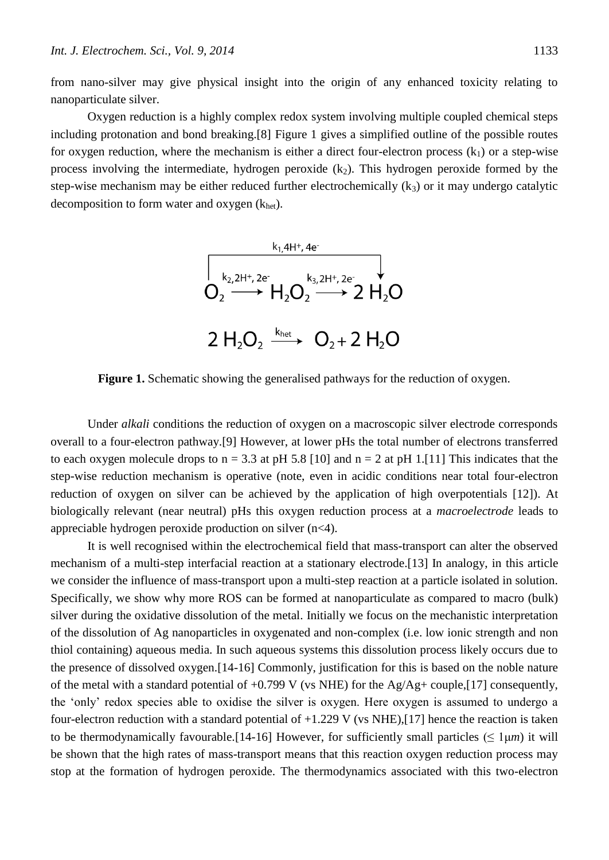from nano-silver may give physical insight into the origin of any enhanced toxicity relating to nanoparticulate silver.

Oxygen reduction is a highly complex redox system involving multiple coupled chemical steps including protonation and bond breaking.[8] Figure 1 gives a simplified outline of the possible routes for oxygen reduction, where the mechanism is either a direct four-electron process  $(k_1)$  or a step-wise process involving the intermediate, hydrogen peroxide  $(k_2)$ . This hydrogen peroxide formed by the step-wise mechanism may be either reduced further electrochemically  $(k_3)$  or it may undergo catalytic decomposition to form water and oxygen  $(k<sub>het</sub>)$ .



**Figure 1.** Schematic showing the generalised pathways for the reduction of oxygen.

Under *alkali* conditions the reduction of oxygen on a macroscopic silver electrode corresponds overall to a four-electron pathway.[9] However, at lower pHs the total number of electrons transferred to each oxygen molecule drops to  $n = 3.3$  at pH 5.8 [10] and  $n = 2$  at pH 1.[11] This indicates that the step-wise reduction mechanism is operative (note, even in acidic conditions near total four-electron reduction of oxygen on silver can be achieved by the application of high overpotentials [12]). At biologically relevant (near neutral) pHs this oxygen reduction process at a *macroelectrode* leads to appreciable hydrogen peroxide production on silver (n<4).

It is well recognised within the electrochemical field that mass-transport can alter the observed mechanism of a multi-step interfacial reaction at a stationary electrode.[13] In analogy, in this article we consider the influence of mass-transport upon a multi-step reaction at a particle isolated in solution. Specifically, we show why more ROS can be formed at nanoparticulate as compared to macro (bulk) silver during the oxidative dissolution of the metal. Initially we focus on the mechanistic interpretation of the dissolution of Ag nanoparticles in oxygenated and non-complex (i.e. low ionic strength and non thiol containing) aqueous media. In such aqueous systems this dissolution process likely occurs due to the presence of dissolved oxygen.[14-16] Commonly, justification for this is based on the noble nature of the metal with a standard potential of  $+0.799$  V (vs NHE) for the Ag/Ag+ couple,[17] consequently, the 'only' redox species able to oxidise the silver is oxygen. Here oxygen is assumed to undergo a four-electron reduction with a standard potential of  $+1.229$  V (vs NHE), [17] hence the reaction is taken to be thermodynamically favourable.<sup>[14-16]</sup> However, for sufficiently small particles ( $\leq 1 \mu m$ ) it will be shown that the high rates of mass-transport means that this reaction oxygen reduction process may stop at the formation of hydrogen peroxide. The thermodynamics associated with this two-electron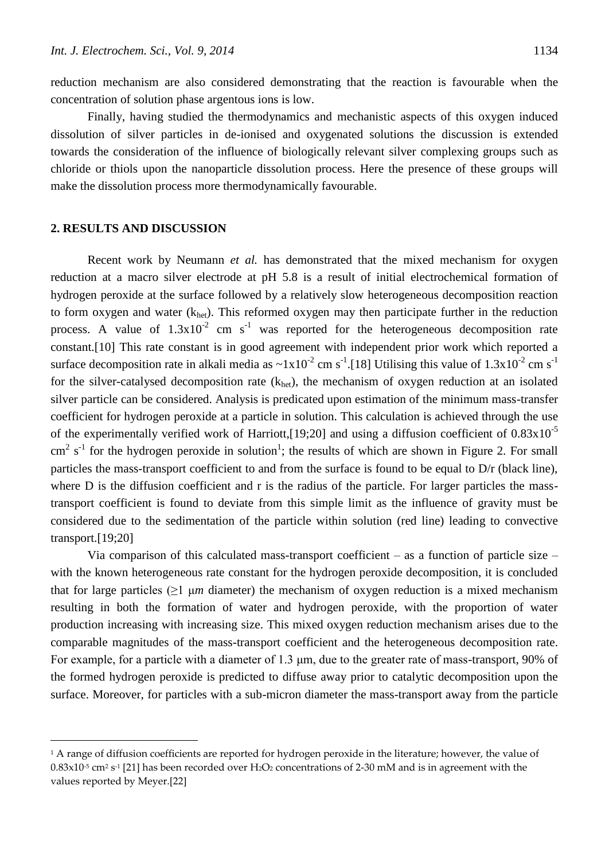reduction mechanism are also considered demonstrating that the reaction is favourable when the concentration of solution phase argentous ions is low.

Finally, having studied the thermodynamics and mechanistic aspects of this oxygen induced dissolution of silver particles in de-ionised and oxygenated solutions the discussion is extended towards the consideration of the influence of biologically relevant silver complexing groups such as chloride or thiols upon the nanoparticle dissolution process. Here the presence of these groups will make the dissolution process more thermodynamically favourable.

### **2. RESULTS AND DISCUSSION**

 $\overline{a}$ 

Recent work by Neumann *et al.* has demonstrated that the mixed mechanism for oxygen reduction at a macro silver electrode at pH 5.8 is a result of initial electrochemical formation of hydrogen peroxide at the surface followed by a relatively slow heterogeneous decomposition reaction to form oxygen and water  $(k<sub>het</sub>)$ . This reformed oxygen may then participate further in the reduction process. A value of  $1.3x10^{-2}$  cm s<sup>-1</sup> was reported for the heterogeneous decomposition rate constant.[10] This rate constant is in good agreement with independent prior work which reported a surface decomposition rate in alkali media as  $\sim 1x10^{-2}$  cm s<sup>-1</sup>.[18] Utilising this value of  $1.3x10^{-2}$  cm s<sup>-1</sup> for the silver-catalysed decomposition rate  $(k<sub>het</sub>)$ , the mechanism of oxygen reduction at an isolated silver particle can be considered. Analysis is predicated upon estimation of the minimum mass-transfer coefficient for hydrogen peroxide at a particle in solution. This calculation is achieved through the use of the experimentally verified work of Harriott, [19;20] and using a diffusion coefficient of  $0.83 \times 10^{-5}$  $\text{cm}^2$  s<sup>-1</sup> for the hydrogen peroxide in solution<sup>1</sup>; the results of which are shown in Figure 2. For small particles the mass-transport coefficient to and from the surface is found to be equal to D/r (black line), where D is the diffusion coefficient and r is the radius of the particle. For larger particles the masstransport coefficient is found to deviate from this simple limit as the influence of gravity must be considered due to the sedimentation of the particle within solution (red line) leading to convective transport.[19;20]

Via comparison of this calculated mass-transport coefficient  $-$  as a function of particle size  $$ with the known heterogeneous rate constant for the hydrogen peroxide decomposition, it is concluded that for large particles  $(\geq 1 \mu m)$  diameter) the mechanism of oxygen reduction is a mixed mechanism resulting in both the formation of water and hydrogen peroxide, with the proportion of water production increasing with increasing size. This mixed oxygen reduction mechanism arises due to the comparable magnitudes of the mass-transport coefficient and the heterogeneous decomposition rate. For example, for a particle with a diameter of 1.3 μm, due to the greater rate of mass-transport, 90% of the formed hydrogen peroxide is predicted to diffuse away prior to catalytic decomposition upon the surface. Moreover, for particles with a sub-micron diameter the mass-transport away from the particle

<sup>&</sup>lt;sup>1</sup> A range of diffusion coefficients are reported for hydrogen peroxide in the literature; however, the value of  $0.83x10$ <sup>.5</sup> cm² s<sup>.1</sup> [21] has been recorded over H2O2 concentrations of 2-30 mM and is in agreement with the values reported by Meyer.[22]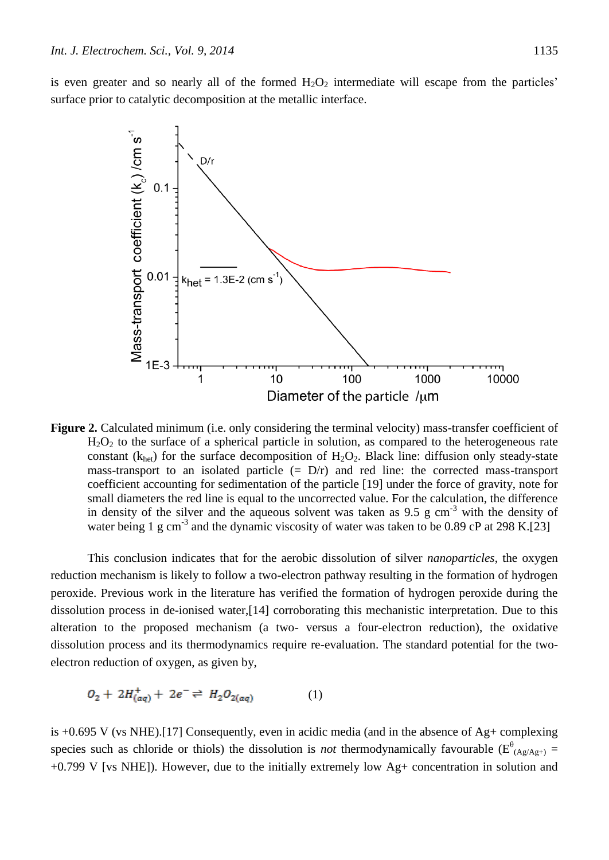is even greater and so nearly all of the formed  $H_2O_2$  intermediate will escape from the particles' surface prior to catalytic decomposition at the metallic interface.



**Figure 2.** Calculated minimum (i.e. only considering the terminal velocity) mass-transfer coefficient of  $H<sub>2</sub>O<sub>2</sub>$  to the surface of a spherical particle in solution, as compared to the heterogeneous rate constant ( $k<sub>het</sub>$ ) for the surface decomposition of H<sub>2</sub>O<sub>2</sub>. Black line: diffusion only steady-state mass-transport to an isolated particle  $(= D/r)$  and red line: the corrected mass-transport coefficient accounting for sedimentation of the particle [19] under the force of gravity, note for small diameters the red line is equal to the uncorrected value. For the calculation, the difference in density of the silver and the aqueous solvent was taken as 9.5 g cm-3 with the density of water being 1 g cm<sup>-3</sup> and the dynamic viscosity of water was taken to be 0.89 cP at 298 K.[23]

This conclusion indicates that for the aerobic dissolution of silver *nanoparticles*, the oxygen reduction mechanism is likely to follow a two-electron pathway resulting in the formation of hydrogen peroxide. Previous work in the literature has verified the formation of hydrogen peroxide during the dissolution process in de-ionised water,[14] corroborating this mechanistic interpretation. Due to this alteration to the proposed mechanism (a two- versus a four-electron reduction), the oxidative dissolution process and its thermodynamics require re-evaluation. The standard potential for the twoelectron reduction of oxygen, as given by,

$$
O_2 + 2H_{(aq)}^+ + 2e^- \rightleftharpoons H_2O_{2(aq)} \tag{1}
$$

is +0.695 V (vs NHE).[17] Consequently, even in acidic media (and in the absence of Ag+ complexing species such as chloride or thiols) the dissolution is *not* thermodynamically favourable ( $E^{\theta}$ <sub>(Ag/Ag+)</sub> = +0.799 V [vs NHE]). However, due to the initially extremely low Ag+ concentration in solution and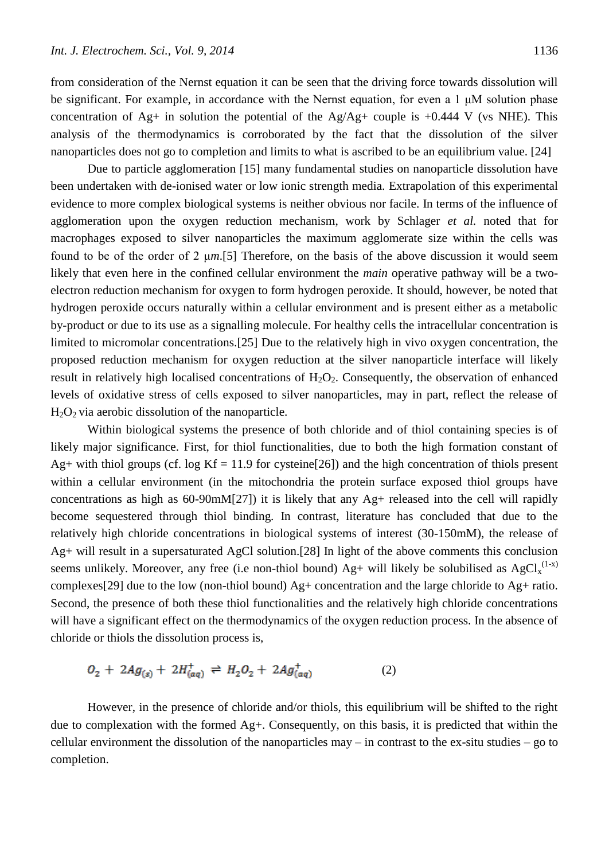from consideration of the Nernst equation it can be seen that the driving force towards dissolution will be significant. For example, in accordance with the Nernst equation, for even a 1 μM solution phase concentration of Ag+ in solution the potential of the Ag/Ag+ couple is  $+0.444$  V (vs NHE). This analysis of the thermodynamics is corroborated by the fact that the dissolution of the silver nanoparticles does not go to completion and limits to what is ascribed to be an equilibrium value. [24]

Due to particle agglomeration [15] many fundamental studies on nanoparticle dissolution have been undertaken with de-ionised water or low ionic strength media. Extrapolation of this experimental evidence to more complex biological systems is neither obvious nor facile. In terms of the influence of agglomeration upon the oxygen reduction mechanism, work by Schlager *et al.* noted that for macrophages exposed to silver nanoparticles the maximum agglomerate size within the cells was found to be of the order of 2 μ*m*.[5] Therefore, on the basis of the above discussion it would seem likely that even here in the confined cellular environment the *main* operative pathway will be a twoelectron reduction mechanism for oxygen to form hydrogen peroxide. It should, however, be noted that hydrogen peroxide occurs naturally within a cellular environment and is present either as a metabolic by-product or due to its use as a signalling molecule. For healthy cells the intracellular concentration is limited to micromolar concentrations.[25] Due to the relatively high in vivo oxygen concentration, the proposed reduction mechanism for oxygen reduction at the silver nanoparticle interface will likely result in relatively high localised concentrations of  $H_2O_2$ . Consequently, the observation of enhanced levels of oxidative stress of cells exposed to silver nanoparticles, may in part, reflect the release of  $H_2O_2$  via aerobic dissolution of the nanoparticle.

Within biological systems the presence of both chloride and of thiol containing species is of likely major significance. First, for thiol functionalities, due to both the high formation constant of Ag+ with thiol groups (cf. log  $Kf = 11.9$  for cysteine[26]) and the high concentration of thiols present within a cellular environment (in the mitochondria the protein surface exposed thiol groups have concentrations as high as 60-90mM[27]) it is likely that any Ag+ released into the cell will rapidly become sequestered through thiol binding. In contrast, literature has concluded that due to the relatively high chloride concentrations in biological systems of interest (30-150mM), the release of Ag+ will result in a supersaturated AgCl solution.[28] In light of the above comments this conclusion seems unlikely. Moreover, any free (i.e non-thiol bound) Ag+ will likely be solubilised as  $AgCl_x^{(1-x)}$ complexes[29] due to the low (non-thiol bound) Ag+ concentration and the large chloride to Ag+ ratio. Second, the presence of both these thiol functionalities and the relatively high chloride concentrations will have a significant effect on the thermodynamics of the oxygen reduction process. In the absence of chloride or thiols the dissolution process is,

$$
O_2 + 2Ag_{(s)} + 2H_{(aq)}^+ \rightleftharpoons H_2O_2 + 2Ag_{(aq)}^+(2)
$$
 (2)

However, in the presence of chloride and/or thiols, this equilibrium will be shifted to the right due to complexation with the formed  $Ag+$ . Consequently, on this basis, it is predicted that within the cellular environment the dissolution of the nanoparticles may – in contrast to the ex-situ studies – go to completion.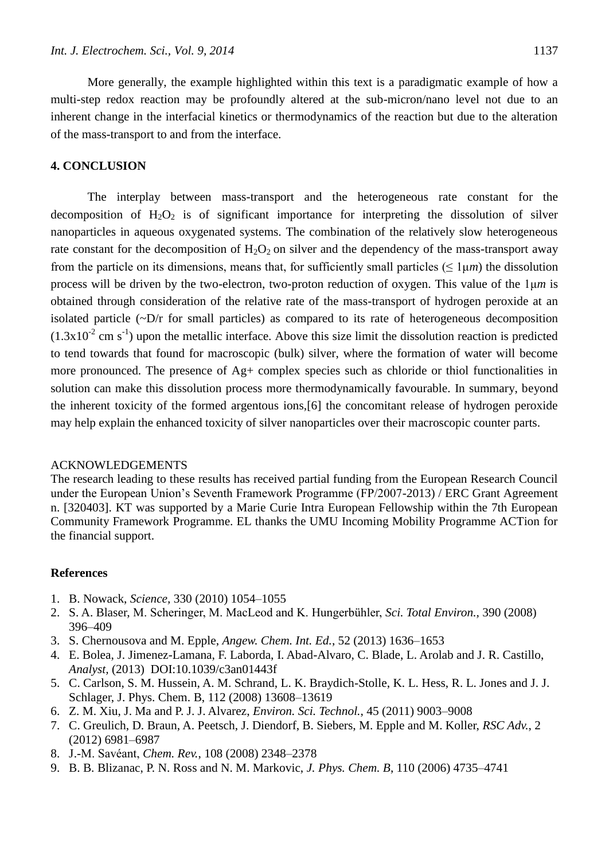More generally, the example highlighted within this text is a paradigmatic example of how a multi-step redox reaction may be profoundly altered at the sub-micron/nano level not due to an inherent change in the interfacial kinetics or thermodynamics of the reaction but due to the alteration of the mass-transport to and from the interface.

### **4. CONCLUSION**

The interplay between mass-transport and the heterogeneous rate constant for the decomposition of  $H_2O_2$  is of significant importance for interpreting the dissolution of silver nanoparticles in aqueous oxygenated systems. The combination of the relatively slow heterogeneous rate constant for the decomposition of  $H_2O_2$  on silver and the dependency of the mass-transport away from the particle on its dimensions, means that, for sufficiently small particles ( $\leq 1 \mu m$ ) the dissolution process will be driven by the two-electron, two-proton reduction of oxygen. This value of the 1μ*m* is obtained through consideration of the relative rate of the mass-transport of hydrogen peroxide at an isolated particle  $(\sim D/r$  for small particles) as compared to its rate of heterogeneous decomposition  $(1.3x10<sup>-2</sup>$  cm s<sup>-1</sup>) upon the metallic interface. Above this size limit the dissolution reaction is predicted to tend towards that found for macroscopic (bulk) silver, where the formation of water will become more pronounced. The presence of Ag+ complex species such as chloride or thiol functionalities in solution can make this dissolution process more thermodynamically favourable. In summary, beyond the inherent toxicity of the formed argentous ions,[6] the concomitant release of hydrogen peroxide may help explain the enhanced toxicity of silver nanoparticles over their macroscopic counter parts.

#### ACKNOWLEDGEMENTS

The research leading to these results has received partial funding from the European Research Council under the European Union's Seventh Framework Programme (FP/2007-2013) / ERC Grant Agreement n. [320403]. KT was supported by a Marie Curie Intra European Fellowship within the 7th European Community Framework Programme. EL thanks the UMU Incoming Mobility Programme ACTion for the financial support.

#### **References**

- 1. B. Nowack, *Science,* 330 (2010) 1054–1055
- 2. S. A. Blaser, M. Scheringer, M. MacLeod and K. Hungerbühler, *Sci. Total Environ.,* 390 (2008) 396–409
- 3. S. Chernousova and M. Epple, *Angew. Chem. Int. Ed.*, 52 (2013) 1636–1653
- 4. E. Bolea, J. Jimenez-Lamana, F. Laborda, I. Abad-Alvaro, C. Blade, L. Arolab and J. R. Castillo, *Analyst,* (2013) DOI:10.1039/c3an01443f
- 5. C. Carlson, S. M. Hussein, A. M. Schrand, L. K. Braydich-Stolle, K. L. Hess, R. L. Jones and J. J. Schlager, J. Phys. Chem. B, 112 (2008) 13608–13619
- 6. Z. M. Xiu, J. Ma and P. J. J. Alvarez, *Environ. Sci. Technol.*, 45 (2011) 9003–9008
- 7. C. Greulich, D. Braun, A. Peetsch, J. Diendorf, B. Siebers, M. Epple and M. Koller, *RSC Adv.*, 2 (2012) 6981–6987
- 8. J.-M. Savéant, *Chem. Rev.*, 108 (2008) 2348–2378
- 9. B. B. Blizanac, P. N. Ross and N. M. Markovic, *J. Phys. Chem. B*, 110 (2006) 4735–4741